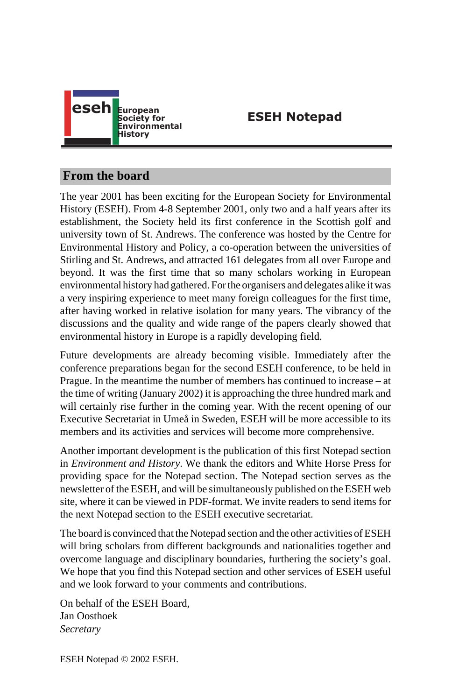

# **ESEH Notepad**

# **From the board**

The year 2001 has been exciting for the European Society for Environmental History (ESEH). From 4-8 September 2001, only two and a half years after its establishment, the Society held its first conference in the Scottish golf and university town of St. Andrews. The conference was hosted by the Centre for Environmental History and Policy, a co-operation between the universities of Stirling and St. Andrews, and attracted 161 delegates from all over Europe and beyond. It was the first time that so many scholars working in European environmental history had gathered. For the organisers and delegates alike it was a very inspiring experience to meet many foreign colleagues for the first time, after having worked in relative isolation for many years. The vibrancy of the discussions and the quality and wide range of the papers clearly showed that environmental history in Europe is a rapidly developing field.

Future developments are already becoming visible. Immediately after the conference preparations began for the second ESEH conference, to be held in Prague. In the meantime the number of members has continued to increase – at the time of writing (January 2002) it is approaching the three hundred mark and will certainly rise further in the coming year. With the recent opening of our Executive Secretariat in Umeå in Sweden, ESEH will be more accessible to its members and its activities and services will become more comprehensive.

Another important development is the publication of this first Notepad section in *Environment and History*. We thank the editors and White Horse Press for providing space for the Notepad section. The Notepad section serves as the newsletter of the ESEH, and will be simultaneously published on the ESEH web site, where it can be viewed in PDF-format. We invite readers to send items for the next Notepad section to the ESEH executive secretariat.

The board is convinced that the Notepad section and the other activities of ESEH will bring scholars from different backgrounds and nationalities together and overcome language and disciplinary boundaries, furthering the society's goal. We hope that you find this Notepad section and other services of ESEH useful and we look forward to your comments and contributions.

On behalf of the ESEH Board, Jan Oosthoek *Secretary*

ESEH Notepad © 2002 ESEH.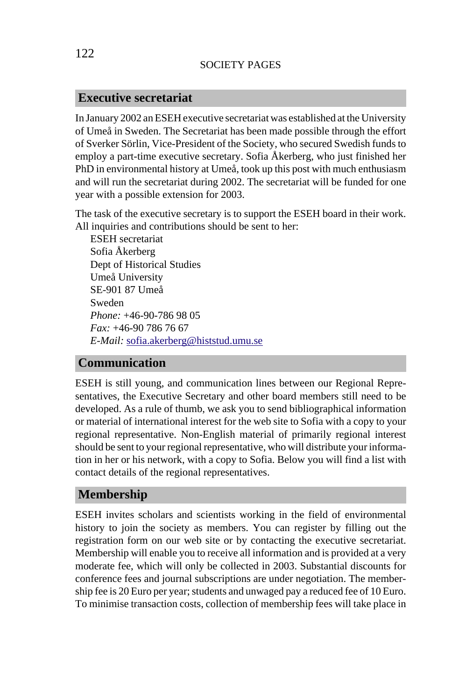#### **Executive secretariat**

In January 2002 an ESEH executive secretariat was established at the University of Umeå in Sweden. The Secretariat has been made possible through the effort of Sverker Sörlin, Vice-President of the Society, who secured Swedish funds to employ a part-time executive secretary. Sofia Åkerberg, who just finished her PhD in environmental history at Umeå, took up this post with much enthusiasm and will run the secretariat during 2002. The secretariat will be funded for one year with a [possible extension for 2003.](mailto:sofia.akerberg@histstud.umu.se)

The task of the executive secretary is to support the ESEH board in their work. All inquiries and contributions should be sent to her:

ESEH secretariat Sofia Åkerberg Dept of Historical Studies Umeå University SE-901 87 Umeå Sweden *Phone:* +46-90-786 98 05 *Fax:* +46-90 786 76 67 *E-Mail:* sofia.akerberg@histstud.umu.se

#### **Communication**

ESEH is still young, and communication lines between our Regional Representatives, the Executive Secretary and other board members still need to be developed. As a rule of thumb, we ask you to send bibliographical information or material of international interest for the web site to Sofia with a copy to your regional representative. Non-English material of primarily regional interest should be sent to your regional representative, who will distribute your information in her or his network, with a copy to Sofia. Below you will find a list with contact details of the regional representatives.

#### **Membership**

ESEH invites scholars and scientists working in the field of environmental history to join the society as members. You can register by filling out the registration form on our web site or by contacting the executive secretariat. Membership will enable you to receive all information and is provided at a very moderate fee, which will only be collected in 2003. Substantial discounts for conference fees and journal subscriptions are under negotiation. The membership fee is 20 Euro per year; students and unwaged pay a reduced fee of 10 Euro. To minimise transaction costs, collection of membership fees will take place in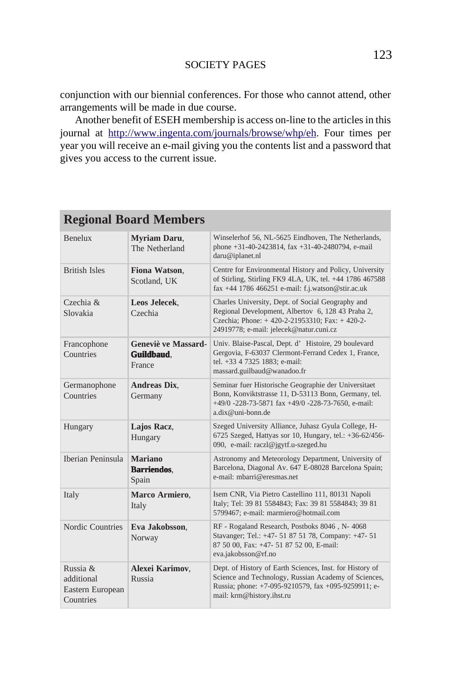conjunction with our biennial conferences. For those who cannot attend, other arrangements will be made in due course.

Another benefit of ESEH membership is access on-line to the articles in this journal at http://www.ingenta.com/journals/browse/whp/eh. Four times per year you will receive an e-mail giving you the contents list and a password that gives you access to the current issue.

# **Regional Board Members**

| <b>Benelux</b>                                          | <b>Myriam Daru.</b><br>The Netherland               | Winselerhof 56, NL-5625 Eindhoven, The Netherlands,<br>phone +31-40-2423814, fax +31-40-2480794, e-mail<br>daru@iplanet.nl                                                                           |
|---------------------------------------------------------|-----------------------------------------------------|------------------------------------------------------------------------------------------------------------------------------------------------------------------------------------------------------|
| <b>British Isles</b>                                    | Fiona Watson,<br>Scotland, UK                       | Centre for Environmental History and Policy, University<br>of Stirling, Stirling FK9 4LA, UK, tel. +44 1786 467588<br>fax +44 1786 466251 e-mail: f.j.watson@stir.ac.uk                              |
| Czechia &<br>Slovakia                                   | Leos Jelecek,<br>Czechia                            | Charles University, Dept. of Social Geography and<br>Regional Development, Albertov 6, 128 43 Praha 2,<br>Czechia; Phone: +420-2-21953310; Fax: +420-2-<br>24919778; e-mail: jelecek@natur.cuni.cz   |
| Francophone<br>Countries                                | Geneviè ve Massard-<br><b>Guildbaud</b> .<br>France | Univ. Blaise-Pascal, Dept. d' Histoire, 29 boulevard<br>Gergovia, F-63037 Clermont-Ferrand Cedex 1, France,<br>tel. +33 4 7325 1883; e-mail:<br>massard.guilbaud@wanadoo.fr                          |
| Germanophone<br>Countries                               | <b>Andreas Dix.</b><br>Germany                      | Seminar fuer Historische Geographie der Universitaet<br>Bonn, Konviktstrasse 11, D-53113 Bonn, Germany, tel.<br>+49/0 -228-73-5871 fax +49/0 -228-73-7650, e-mail:<br>$a$ .dix@uni-bonn.de           |
| Hungary                                                 | Lajos Racz,<br>Hungary                              | Szeged University Alliance, Juhasz Gyula College, H-<br>6725 Szeged, Hattyas sor 10, Hungary, tel.: +36-62/456-<br>090, e-mail: raczl@jgytf.u-szeged.hu                                              |
| Iberian Peninsula                                       | <b>Mariano</b><br><b>Barriendos.</b><br>Spain       | Astronomy and Meteorology Department, University of<br>Barcelona, Diagonal Av. 647 E-08028 Barcelona Spain;<br>e-mail: mbarri@eresmas.net                                                            |
| Italy                                                   | Marco Armiero,<br>Italy                             | Isem CNR, Via Pietro Castellino 111, 80131 Napoli<br>Italy; Tel: 39 81 5584843; Fax: 39 81 5584843; 39 81<br>5799467; e-mail: marmiero@hotmail.com                                                   |
| Nordic Countries                                        | Eva Jakobsson,<br>Norway                            | RF - Rogaland Research, Postboks 8046, N-4068<br>Stavanger; Tel.: +47- 51 87 51 78, Company: +47- 51<br>87 50 00, Fax: +47- 51 87 52 00, E-mail:<br>eva.jakobsson@rf.no                              |
| Russia &<br>additional<br>Eastern European<br>Countries | Alexei Karimov.<br>Russia                           | Dept. of History of Earth Sciences, Inst. for History of<br>Science and Technology, Russian Academy of Sciences,<br>Russia; phone: +7-095-9210579, fax +095-9259911; e-<br>mail: krm@history.ihst.ru |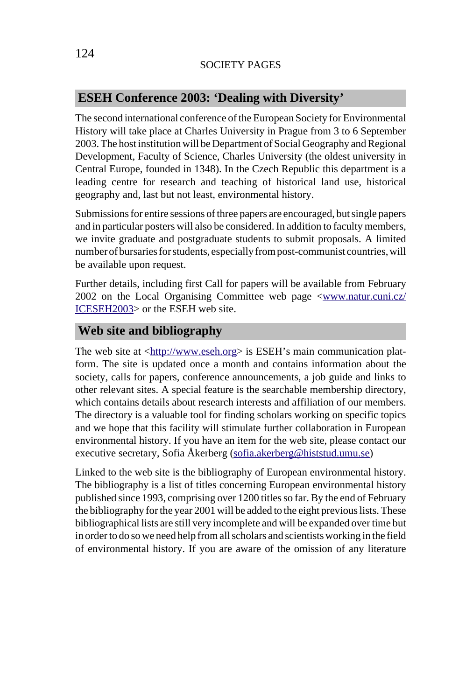## **ESEH Conference 2003: 'Dealing with Diversity'**

The second international conference of the European Society for Environmental History will take place at Charles University in Prague from 3 to 6 September 2003. The host institution will be Department of Social Geography and Regional Development, Faculty of Science, Charles University (the [oldest university in](http://www.natur.cuni.cz/ICESEH2003) [Central Europ](http://www.natur.cuni.cz/ICESEH2003)e, founded in 1348). In the Czech Republic this department is a leading centre for research and teaching of historical land use, historical geography and, last but not least, environmental history.

Submissions for e[ntire sessions of three](http://www.eseh.org) papers are encouraged, but single papers and in particular posters will also be considered. In addition to faculty members, we invite graduate and postgraduate students to submit proposals. A limited number of bursaries for students, especially from post-communist countries, will be available upon request.

Further details, including first Call for papers will be available from February 2002 on the Local Organising Committee web page <www.natur.cuni.cz/ ICESEH2003> or the ESEH web sit[e.](mailto:sofia.akerberg@histstud.umu.se)

#### **Web site and bibliography**

The web site at <http://www.eseh.org> is ESEH's main communication platform. The site is updated once a month and contains information about the society, calls for papers, conference announcements, a job guide and links to other relevant sites. A special feature is the searchable membership directory, which contains details about research interests and affiliation of our members. The directory is a valuable tool for finding scholars working on specific topics and we hope that this facility will stimulate further collaboration in European environmental history. If you have an item for the web site, please contact our executive secretary, Sofia Åkerberg (sofia.akerberg@histstud.umu.se)

Linked to the web site is the bibliography of European environmental history. The bibliography is a list of titles concerning European environmental history published since 1993, comprising over 1200 titles so far. By the end of February the bibliography for the year 2001 will be added to the eight previous lists. These bibliographical lists are still very incomplete and will be expanded over time but in order to do so we need help from all scholars and scientists working in the field of environmental history. If you are aware of the omission of any literature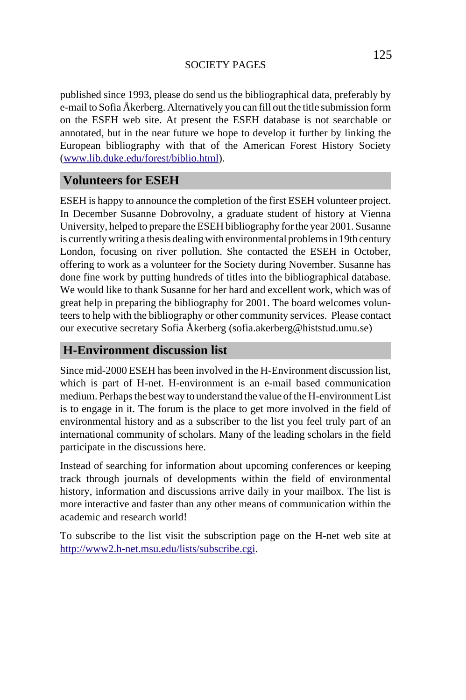published since 1993, please do send us the bibliographical data, preferably by e-mail to Sofia Åkerberg. Alternatively you can fill out the title submission form on the ESEH web site. At present the ESEH database is not searchable or annotated, but in the near future we hope to develop it further by linking the European bibliography with that of the American Forest History Society (www.lib.duke.edu/forest/biblio.html).

## **Volunteers for ESEH**

ESEH is happy to announce the completion of the first ESEH volunteer project. In December Susanne Dobrovolny, a graduate student of history at Vienna University, helped to prepare the ESEH bibliography for the year 2001. Susanne is currently writing a thesis dealing with environmental problems in 19th century London, focusing on river pollution. She contacted the ESEH in October, offering to work as a volunteer for the Society during November. Susanne has done fine work by putting hundreds of titles into the bibliographical database. We would like to thank Susanne for her hard and excellent work, which was of great help in preparing the bibliography for 2001. The board welcomes volunteers to help with the bibliography or other community services. Please contact our executive secretary Sofia Åkerberg (sofia.akerberg@histstud.umu.se)

#### **H-Environment discussion list**

Since mid-2000 ESEH has been involved in the H-Environment discussion list, which is part of H-net. H-environment is an e-mail based communication medium. Perhaps the best way to understand the value of the H-environment List [is to engage in it. The forum is the place to ge](http://www2.h-net.msu.edu/lists/subscribe.cgi)t more involved in the field of environmental history and as a subscriber to the list you feel truly part of an international community of scholars. Many of the leading scholars in the field participate in the discussions here.

Instead of searching for information about upcoming conferences or keeping track through journals of developments within the field of environmental history, information and discussions arrive daily in your mailbox. The list is more interactive and faster than any other means of communication within the academic and research world!

To subscribe to the list visit the subscription page on the H-net web site at http://www2.h-net.msu.edu/lists/subscribe.cgi.